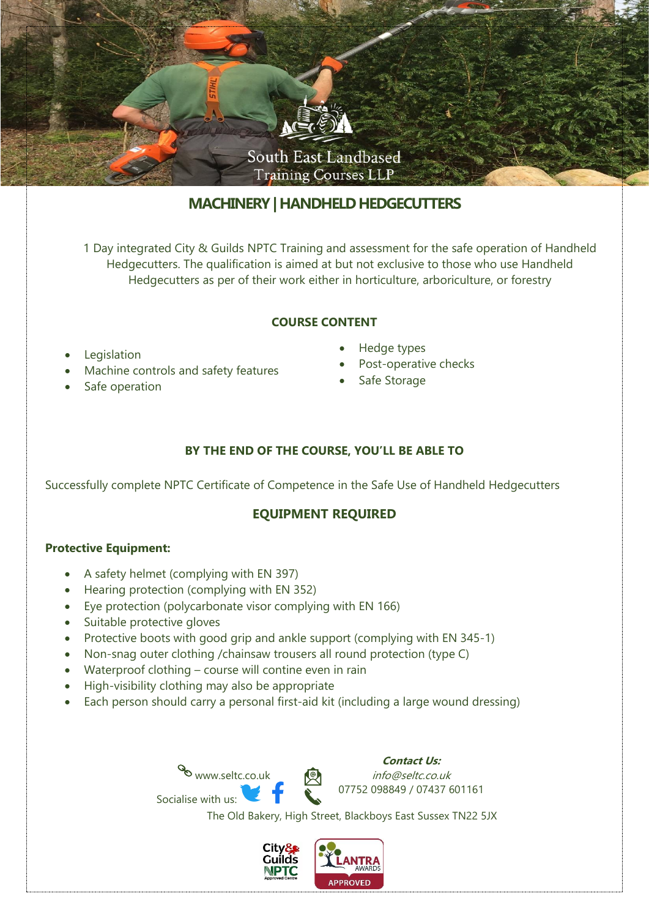

# **MACHINERY| HANDHELD HEDGECUTTERS**

1 Day integrated City & Guilds NPTC Training and assessment for the safe operation of Handheld Hedgecutters. The qualification is aimed at but not exclusive to those who use Handheld Hedgecutters as per of their work either in horticulture, arboriculture, or forestry

### **COURSE CONTENT**

- **Legislation**
- Machine controls and safety features
- Safe operation
- Hedge types
- Post-operative checks
- Safe Storage

## **BY THE END OF THE COURSE, YOU'LL BE ABLE TO**

Successfully complete NPTC Certificate of Competence in the Safe Use of Handheld Hedgecutters

## **EQUIPMENT REQUIRED**

### **Protective Equipment:**

- A safety helmet (complying with EN 397)
- Hearing protection (complying with EN 352)
- Eye protection (polycarbonate visor complying with EN 166)
- Suitable protective gloves
- Protective boots with good grip and ankle support (complying with EN 345-1)
- Non-snag outer clothing /chainsaw trousers all round protection (type C)
- Waterproof clothing course will contine even in rain

www.seltc.co.uk

• High-visibility clothing may also be appropriate

Socialise with us:

• Each person should carry a personal first-aid kit (including a large wound dressing)

**Contact Us:** info@seltc.co.uk 07752 098849 / 07437 601161

The Old Bakery, High Street, Blackboys East Sussex TN22 5JX